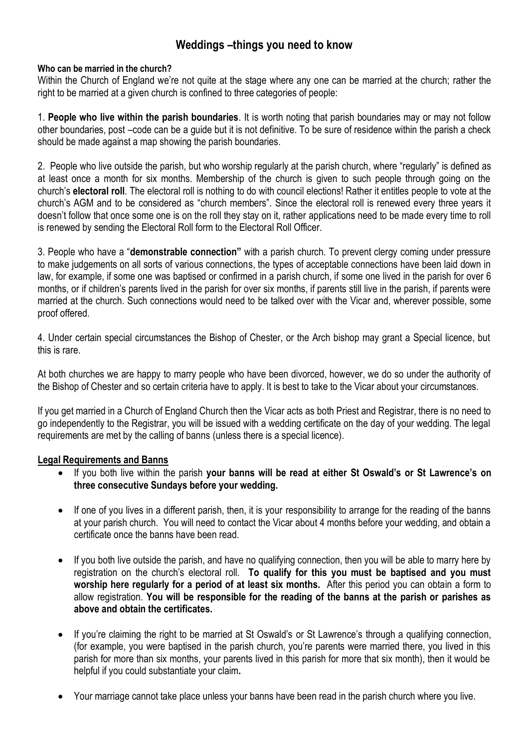# **Weddings –things you need to know**

### **Who can be married in the church?**

Within the Church of England we're not quite at the stage where any one can be married at the church; rather the right to be married at a given church is confined to three categories of people:

1. **People who live within the parish boundaries**. It is worth noting that parish boundaries may or may not follow other boundaries, post –code can be a guide but it is not definitive. To be sure of residence within the parish a check should be made against a map showing the parish boundaries.

2. People who live outside the parish, but who worship regularly at the parish church, where "regularly" is defined as at least once a month for six months. Membership of the church is given to such people through going on the church's **electoral roll**. The electoral roll is nothing to do with council elections! Rather it entitles people to vote at the church's AGM and to be considered as "church members". Since the electoral roll is renewed every three years it doesn't follow that once some one is on the roll they stay on it, rather applications need to be made every time to roll is renewed by sending the Electoral Roll form to the Electoral Roll Officer.

3. People who have a "**demonstrable connection"** with a parish church. To prevent clergy coming under pressure to make judgements on all sorts of various connections, the types of acceptable connections have been laid down in law, for example, if some one was baptised or confirmed in a parish church, if some one lived in the parish for over 6 months, or if children's parents lived in the parish for over six months, if parents still live in the parish, if parents were married at the church. Such connections would need to be talked over with the Vicar and, wherever possible, some proof offered.

4. Under certain special circumstances the Bishop of Chester, or the Arch bishop may grant a Special licence, but this is rare.

At both churches we are happy to marry people who have been divorced, however, we do so under the authority of the Bishop of Chester and so certain criteria have to apply. It is best to take to the Vicar about your circumstances.

If you get married in a Church of England Church then the Vicar acts as both Priest and Registrar, there is no need to go independently to the Registrar, you will be issued with a wedding certificate on the day of your wedding. The legal requirements are met by the calling of banns (unless there is a special licence).

## **Legal Requirements and Banns**

- If you both live within the parish **your banns will be read at either St Oswald's or St Lawrence's on three consecutive Sundays before your wedding.**
- If one of you lives in a different parish, then, it is your responsibility to arrange for the reading of the banns at your parish church. You will need to contact the Vicar about 4 months before your wedding, and obtain a certificate once the banns have been read.
- If you both live outside the parish, and have no qualifying connection, then you will be able to marry here by registration on the church's electoral roll. **To qualify for this you must be baptised and you must worship here regularly for a period of at least six months.** After this period you can obtain a form to allow registration. **You will be responsible for the reading of the banns at the parish or parishes as above and obtain the certificates.**
- If you're claiming the right to be married at St Oswald's or St Lawrence's through a qualifying connection, (for example, you were baptised in the parish church, you're parents were married there, you lived in this parish for more than six months, your parents lived in this parish for more that six month), then it would be helpful if you could substantiate your claim**.**
- Your marriage cannot take place unless your banns have been read in the parish church where you live.